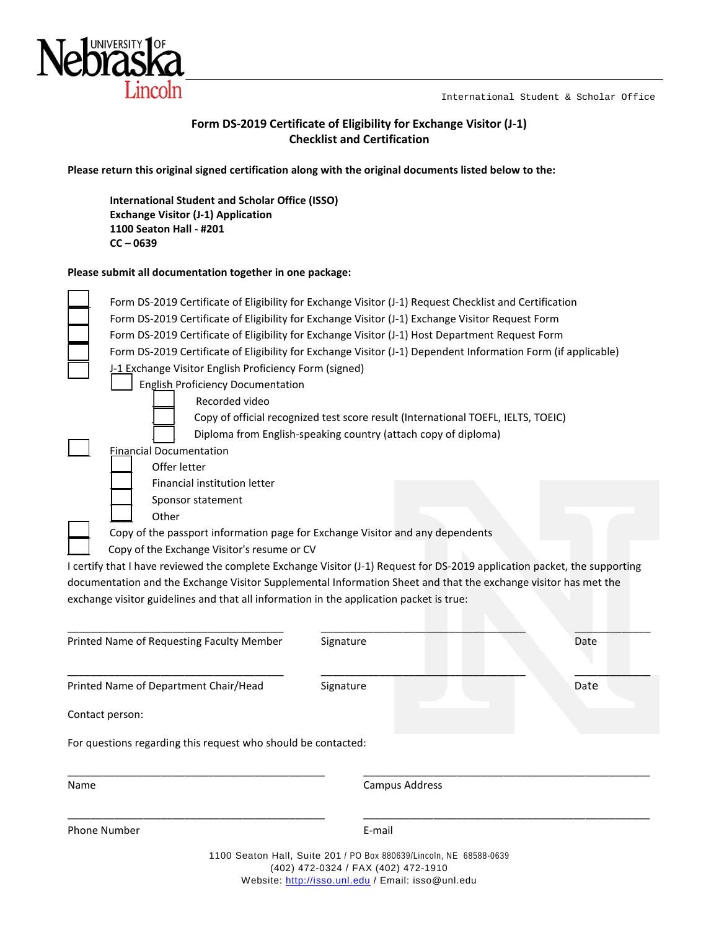International Student & Scholar Office



### **Form DS-2019 Certificate of Eligibility for Exchange Visitor (J-1) Checklist and Certification**

**Please return this original signed certification along with the original documents listed below to the:** 

**International Student and Scholar Office (ISSO) Exchange Visitor (J-1) Application 1100 Seaton Hall - #201 CC – 0639**

#### **Please submit all documentation together in one package:**

|      | <b>Financial Documentation</b>                                                                                            | Diploma from English-speaking country (attach copy of diploma) |      |
|------|---------------------------------------------------------------------------------------------------------------------------|----------------------------------------------------------------|------|
|      | Offer letter                                                                                                              |                                                                |      |
|      | Financial institution letter                                                                                              |                                                                |      |
|      | Sponsor statement                                                                                                         |                                                                |      |
|      | Other                                                                                                                     |                                                                |      |
|      | Copy of the passport information page for Exchange Visitor and any dependents                                             |                                                                |      |
|      | Copy of the Exchange Visitor's resume or CV                                                                               |                                                                |      |
|      | I certify that I have reviewed the complete Exchange Visitor (J-1) Request for DS-2019 application packet, the supporting |                                                                |      |
|      |                                                                                                                           |                                                                |      |
|      |                                                                                                                           |                                                                |      |
|      | documentation and the Exchange Visitor Supplemental Information Sheet and that the exchange visitor has met the           |                                                                |      |
|      | exchange visitor guidelines and that all information in the application packet is true:                                   |                                                                |      |
|      |                                                                                                                           |                                                                |      |
|      | Printed Name of Requesting Faculty Member                                                                                 | Signature                                                      | Date |
|      |                                                                                                                           |                                                                |      |
|      |                                                                                                                           |                                                                |      |
|      | Printed Name of Department Chair/Head                                                                                     | Signature                                                      | Date |
|      |                                                                                                                           |                                                                |      |
|      | Contact person:                                                                                                           |                                                                |      |
|      |                                                                                                                           |                                                                |      |
|      | For questions regarding this request who should be contacted:                                                             |                                                                |      |
|      |                                                                                                                           |                                                                |      |
| Name |                                                                                                                           | Campus Address                                                 |      |

Phone Number **E-mail** 

\_\_\_\_\_\_\_\_\_\_\_\_\_\_\_\_\_\_\_\_\_\_\_\_\_\_\_\_\_\_\_\_\_\_\_\_\_\_\_\_\_\_\_\_ \_\_\_\_\_\_\_\_\_\_\_\_\_\_\_\_\_\_\_\_\_\_\_\_\_\_\_\_\_\_\_\_\_\_\_\_\_\_\_\_\_\_\_\_\_\_\_\_\_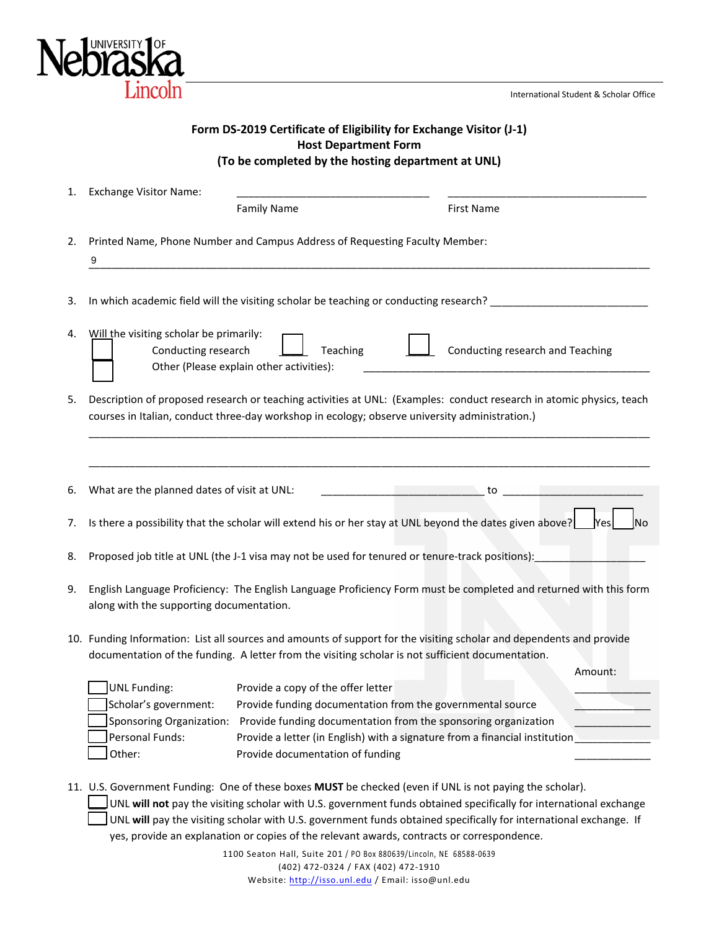

International Student & Scholar Office

|                                                                                                                                                         | <b>LIII ICOILI</b><br>International Student & Scholar Offic                                                                                                                                                            |  |  |  |
|---------------------------------------------------------------------------------------------------------------------------------------------------------|------------------------------------------------------------------------------------------------------------------------------------------------------------------------------------------------------------------------|--|--|--|
| Form DS-2019 Certificate of Eligibility for Exchange Visitor (J-1)<br><b>Host Department Form</b><br>(To be completed by the hosting department at UNL) |                                                                                                                                                                                                                        |  |  |  |
| 1.                                                                                                                                                      | <b>Exchange Visitor Name:</b><br><b>Family Name</b><br><b>First Name</b>                                                                                                                                               |  |  |  |
| 2.                                                                                                                                                      | Printed Name, Phone Number and Campus Address of Requesting Faculty Member:<br>9                                                                                                                                       |  |  |  |
| 3.                                                                                                                                                      | In which academic field will the visiting scholar be teaching or conducting research? _______________________                                                                                                          |  |  |  |
| 4.                                                                                                                                                      | Will the visiting scholar be primarily:<br>Conducting research and Teaching<br>Teaching<br>Conducting research<br>Other (Please explain other activities):                                                             |  |  |  |
| 5.                                                                                                                                                      | Description of proposed research or teaching activities at UNL: (Examples: conduct research in atomic physics, teach<br>courses in Italian, conduct three-day workshop in ecology; observe university administration.) |  |  |  |
| 6.                                                                                                                                                      | $\sim$ to $\sim$ to $\sim$ to $\sim$ to $\sim$<br>What are the planned dates of visit at UNL:                                                                                                                          |  |  |  |
| 7.                                                                                                                                                      | Is there a possibility that the scholar will extend his or her stay at UNL beyond the dates given above?<br>No<br><b>Yes</b>                                                                                           |  |  |  |
| 8.                                                                                                                                                      | Proposed job title at UNL (the J-1 visa may not be used for tenured or tenure-track positions):                                                                                                                        |  |  |  |
| 9.                                                                                                                                                      | English Language Proficiency: The English Language Proficiency Form must be completed and returned with this form<br>along with the supporting documentation.                                                          |  |  |  |

10. Funding Information: List all sources and amounts of support for the visiting scholar and dependents and provide documentation of the funding. A letter from the visiting scholar is not sufficient documentation.

|                          |                                                                             | Amount: |
|--------------------------|-----------------------------------------------------------------------------|---------|
| UNL Funding:             | Provide a copy of the offer letter                                          |         |
| Scholar's government:    | Provide funding documentation from the governmental source                  |         |
| Sponsoring Organization: | Provide funding documentation from the sponsoring organization              |         |
| Personal Funds:          | Provide a letter (in English) with a signature from a financial institution |         |
| l Other:                 | Provide documentation of funding                                            |         |

- 11. U.S. Government Funding: One of these boxes **MUST** be checked (even if UNL is not paying the scholar).
	- \_\_\_ UNL **will not** pay the visiting scholar with U.S. government funds obtained specifically for international exchange \_\_\_ UNL **will** pay the visiting scholar with U.S. government funds obtained specifically for international exchange. If yes, provide an explanation or copies of the relevant awards, contracts or correspondence.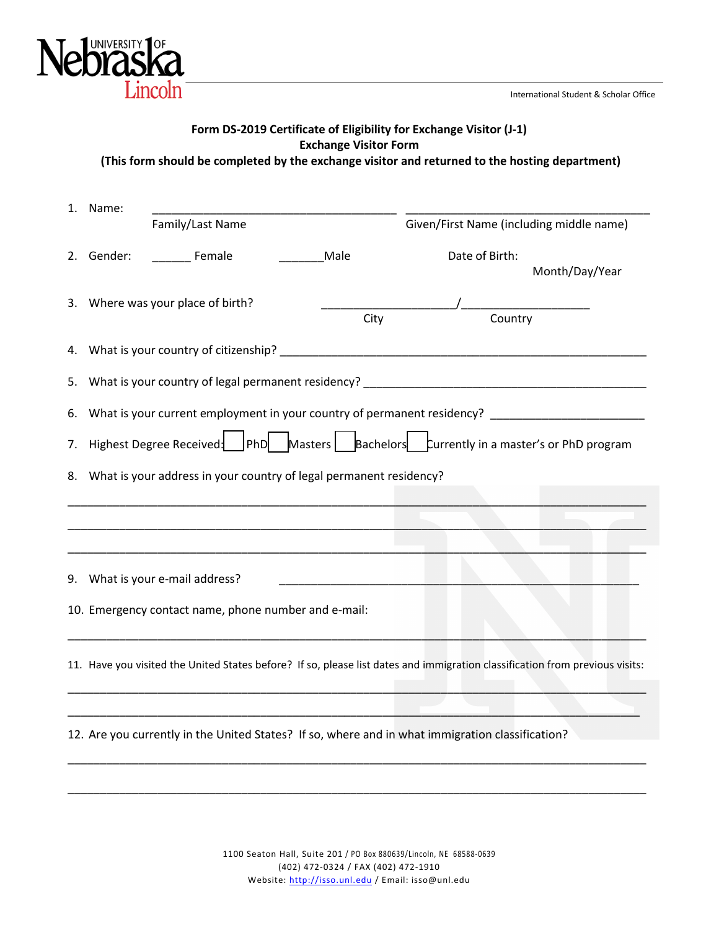International Student & Scholar Office



| 1. Name:                                                                                 | Family/Last Name                                                                                                             |  |      | Given/First Name (including middle name) |                |
|------------------------------------------------------------------------------------------|------------------------------------------------------------------------------------------------------------------------------|--|------|------------------------------------------|----------------|
|                                                                                          | 2. Gender: ________ Female                                                                                                   |  | Male | Date of Birth:                           | Month/Day/Year |
|                                                                                          | 3. Where was your place of birth?                                                                                            |  | City | $\frac{1}{\sqrt{2\pi}}$ Country          |                |
|                                                                                          |                                                                                                                              |  |      |                                          |                |
|                                                                                          |                                                                                                                              |  |      |                                          |                |
|                                                                                          | 6. What is your current employment in your country of permanent residency? ________________________                          |  |      |                                          |                |
| 7. Highest Degree Received: PhD Masters Bachelors Currently in a master's or PhD program |                                                                                                                              |  |      |                                          |                |
|                                                                                          | 8. What is your address in your country of legal permanent residency?                                                        |  |      |                                          |                |
|                                                                                          |                                                                                                                              |  |      |                                          |                |
|                                                                                          |                                                                                                                              |  |      |                                          |                |
|                                                                                          | 9. What is your e-mail address?                                                                                              |  |      |                                          |                |
| 10. Emergency contact name, phone number and e-mail:                                     |                                                                                                                              |  |      |                                          |                |
|                                                                                          | 11. Have you visited the United States before? If so, please list dates and immigration classification from previous visits: |  |      |                                          |                |
|                                                                                          |                                                                                                                              |  |      |                                          |                |
|                                                                                          | 12. Are you currently in the United States? If so, where and in what immigration classification?                             |  |      |                                          |                |
|                                                                                          |                                                                                                                              |  |      |                                          |                |
|                                                                                          |                                                                                                                              |  |      |                                          |                |

**Form DS-2019 Certificate of Eligibility for Exchange Visitor (J-1) Exchange Visitor Form (This form should be completed by the exchange visitor and returned to the hosting department)** 

> 1100 Seaton Hall, Suite 201 / PO Box 880639/Lincoln, NE 68588-0639 (402) 472-0324 / FAX (402) 472-1910 Website: [http://isso.unl.edu](http://isso.unl.edu/) / Email: isso@unl.edu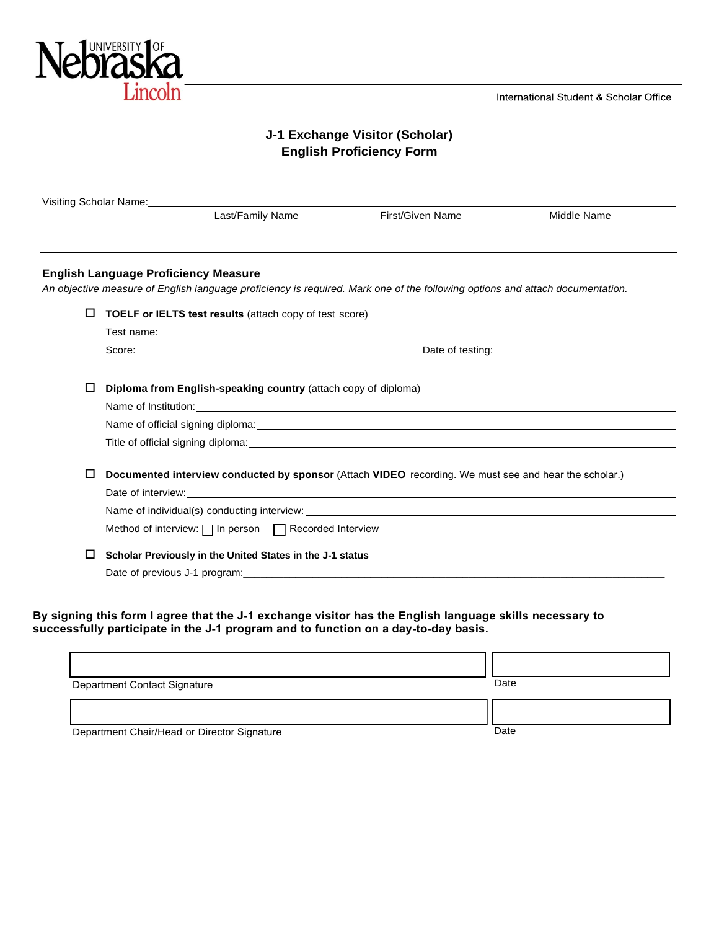

International Student & Scholar Office

# **J-1 Exchange Visitor (Scholar) English Proficiency Form**

| Visiting Scholar Name: Visiting Scholar Name: |                                                                 |                                                                                                                                                              |                                   |
|-----------------------------------------------|-----------------------------------------------------------------|--------------------------------------------------------------------------------------------------------------------------------------------------------------|-----------------------------------|
|                                               | Last/Family Name                                                | First/Given Name                                                                                                                                             | Middle Name                       |
|                                               | <b>English Language Proficiency Measure</b>                     |                                                                                                                                                              |                                   |
| □                                             | <b>TOELF or IELTS test results (attach copy of test score)</b>  | An objective measure of English language proficiency is required. Mark one of the following options and attach documentation.                                |                                   |
|                                               |                                                                 |                                                                                                                                                              |                                   |
|                                               | Score: <u>Contract Communication</u>                            |                                                                                                                                                              | Date of testing: Date of testing: |
|                                               |                                                                 |                                                                                                                                                              |                                   |
| ப                                             | Diploma from English-speaking country (attach copy of diploma)  |                                                                                                                                                              |                                   |
|                                               |                                                                 | Name of Institution: Name of Institution:                                                                                                                    |                                   |
|                                               |                                                                 |                                                                                                                                                              |                                   |
|                                               |                                                                 | Title of official signing diploma: The state of the state of the state of the state of official signing diplomation                                          |                                   |
| □                                             |                                                                 | Documented interview conducted by sponsor (Attach VIDEO recording. We must see and hear the scholar.)                                                        |                                   |
|                                               |                                                                 |                                                                                                                                                              |                                   |
|                                               |                                                                 | Name of individual(s) conducting interview:<br>example: example: example: example: example: example: example: example: example: example: example: example: e |                                   |
|                                               | Method of interview: $\Box$ In person $\Box$ Recorded Interview |                                                                                                                                                              |                                   |
| $\Box$                                        | Scholar Previously in the United States in the J-1 status       |                                                                                                                                                              |                                   |
|                                               |                                                                 | Date of previous J-1 program: example of the state of product of the state of previous J-1 program:                                                          |                                   |

**By signing this form I agree that the J-1 exchange visitor has the English language skills necessary to successfully participate in the J-1 program and to function on a day-to-day basis.**

| Department Contact Signature                | Date |
|---------------------------------------------|------|
|                                             |      |
| Department Chair/Head or Director Signature | Date |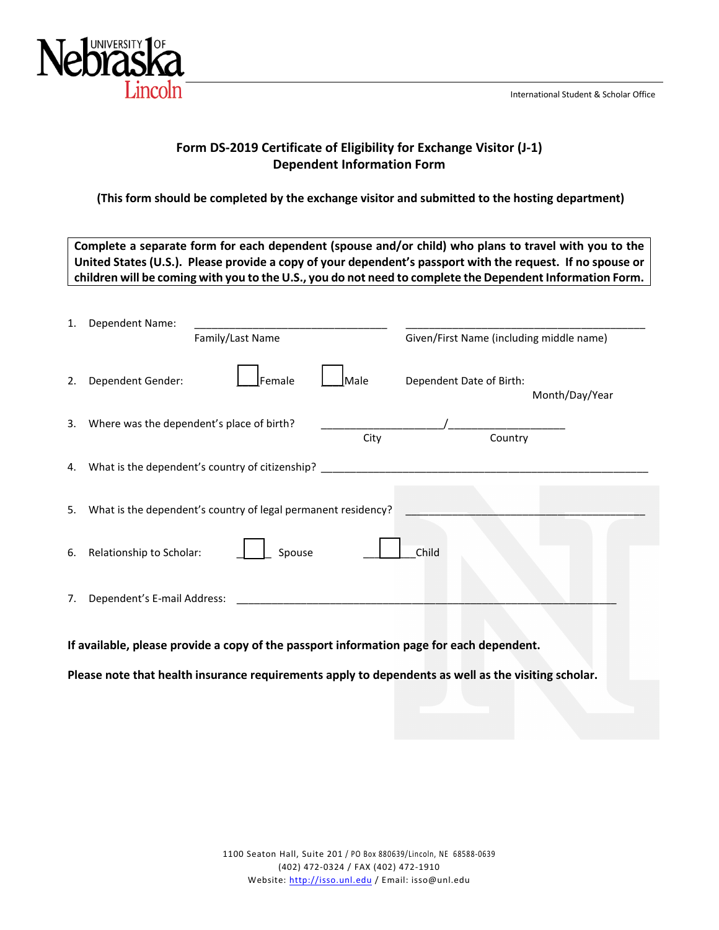

# **Form DS-2019 Certificate of Eligibility for Exchange Visitor (J-1) Dependent Information Form**

## **(This form should be completed by the exchange visitor and submitted to the hosting department)**

| Complete a separate form for each dependent (spouse and/or child) who plans to travel with you to the<br>United States (U.S.). Please provide a copy of your dependent's passport with the request. If no spouse or<br>children will be coming with you to the U.S., you do not need to complete the Dependent Information Form. |                                                               |                                            |  |
|----------------------------------------------------------------------------------------------------------------------------------------------------------------------------------------------------------------------------------------------------------------------------------------------------------------------------------|---------------------------------------------------------------|--------------------------------------------|--|
| 1.                                                                                                                                                                                                                                                                                                                               | Dependent Name:<br>Family/Last Name                           | Given/First Name (including middle name)   |  |
| 2.                                                                                                                                                                                                                                                                                                                               | Dependent Gender:<br>Female<br>Male                           | Dependent Date of Birth:<br>Month/Day/Year |  |
| 3.                                                                                                                                                                                                                                                                                                                               | Where was the dependent's place of birth?<br>City             | Country                                    |  |
| 4.                                                                                                                                                                                                                                                                                                                               |                                                               |                                            |  |
| 5.                                                                                                                                                                                                                                                                                                                               | What is the dependent's country of legal permanent residency? |                                            |  |
| 6.                                                                                                                                                                                                                                                                                                                               | Relationship to Scholar:<br>Spouse                            | Child                                      |  |
| 7.                                                                                                                                                                                                                                                                                                                               | Dependent's E-mail Address:                                   |                                            |  |
| If available, please provide a copy of the passport information page for each dependent.<br>1000 - Carolina Andrew March 1990 - Carolina Andrew March 1990                                                                                                                                                                       |                                                               |                                            |  |

**Please note that health insurance requirements apply to dependents as well as the visiting scholar.**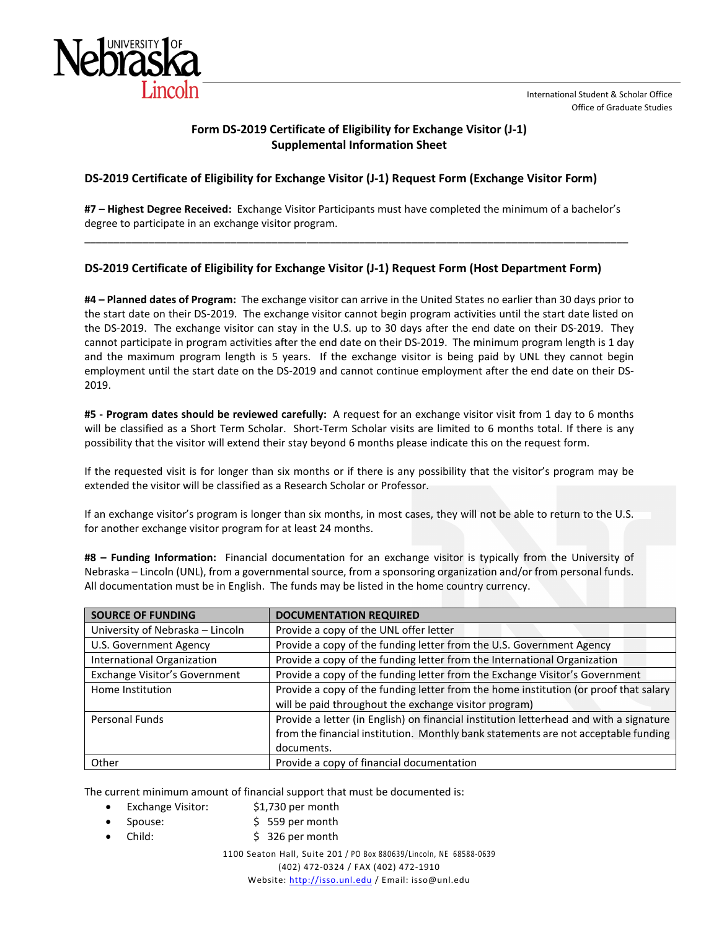### **Form DS-2019 Certificate of Eligibility for Exchange Visitor (J-1) Supplemental Information Sheet**

#### **DS-2019 Certificate of Eligibility for Exchange Visitor (J-1) Request Form (Exchange Visitor Form)**

**#7 – Highest Degree Received:** Exchange Visitor Participants must have completed the minimum of a bachelor's degree to participate in an exchange visitor program. \_\_\_\_\_\_\_\_\_\_\_\_\_\_\_\_\_\_\_\_\_\_\_\_\_\_\_\_\_\_\_\_\_\_\_\_\_\_\_\_\_\_\_\_\_\_\_\_\_\_\_\_\_\_\_\_\_\_\_\_\_\_\_\_\_\_\_\_\_\_\_\_\_\_\_\_\_\_\_\_\_\_\_\_\_\_\_\_\_\_\_\_\_

### **DS-2019 Certificate of Eligibility for Exchange Visitor (J-1) Request Form (Host Department Form)**

**#4 – Planned dates of Program:** The exchange visitor can arrive in the United States no earlier than 30 days prior to the start date on their DS-2019. The exchange visitor cannot begin program activities until the start date listed on the DS-2019. The exchange visitor can stay in the U.S. up to 30 days after the end date on their DS-2019. They cannot participate in program activities after the end date on their DS-2019. The minimum program length is 1 day and the maximum program length is 5 years. If the exchange visitor is being paid by UNL they cannot begin employment until the start date on the DS-2019 and cannot continue employment after the end date on their DS-2019.

**#5 - Program dates should be reviewed carefully:** A request for an exchange visitor visit from 1 day to 6 months will be classified as a Short Term Scholar. Short-Term Scholar visits are limited to 6 months total. If there is any possibility that the visitor will extend their stay beyond 6 months please indicate this on the request form.

If the requested visit is for longer than six months or if there is any possibility that the visitor's program may be extended the visitor will be classified as a Research Scholar or Professor.

If an exchange visitor's program is longer than six months, in most cases, they will not be able to return to the U.S. for another exchange visitor program for at least 24 months.

**#8 – Funding Information:** Financial documentation for an exchange visitor is typically from the University of Nebraska – Lincoln (UNL), from a governmental source, from a sponsoring organization and/or from personal funds. All documentation must be in English. The funds may be listed in the home country currency.

| <b>SOURCE OF FUNDING</b>                                                                                 | <b>DOCUMENTATION REQUIRED</b>                                                        |  |
|----------------------------------------------------------------------------------------------------------|--------------------------------------------------------------------------------------|--|
| University of Nebraska - Lincoln                                                                         | Provide a copy of the UNL offer letter                                               |  |
| U.S. Government Agency                                                                                   | Provide a copy of the funding letter from the U.S. Government Agency                 |  |
| International Organization                                                                               | Provide a copy of the funding letter from the International Organization             |  |
| Exchange Visitor's Government                                                                            | Provide a copy of the funding letter from the Exchange Visitor's Government          |  |
| Home Institution                                                                                         | Provide a copy of the funding letter from the home institution (or proof that salary |  |
|                                                                                                          | will be paid throughout the exchange visitor program)                                |  |
| Provide a letter (in English) on financial institution letterhead and with a signature<br>Personal Funds |                                                                                      |  |
|                                                                                                          | from the financial institution. Monthly bank statements are not acceptable funding   |  |
|                                                                                                          | documents.                                                                           |  |
| Other                                                                                                    | Provide a copy of financial documentation                                            |  |

The current minimum amount of financial support that must be documented is:

- Exchange Visitor: \$1,730 per month
- Spouse: \$ 559 per month
- Child: \$ 326 per month

1100 Seaton Hall, Suite 201 / PO Box 880639/Lincoln, NE 68588-0639 (402) 472-0324 / FAX (402) 472-1910

Website: [http://isso.unl.edu](http://isso.unl.edu/) / Email: isso@unl.edu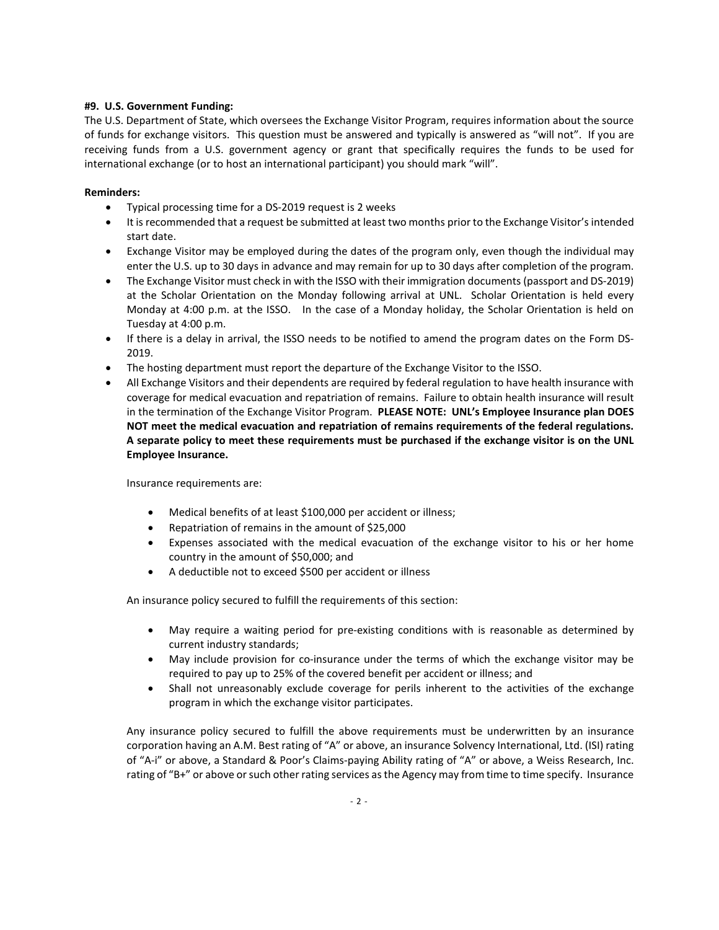#### **#9. U.S. Government Funding:**

The U.S. Department of State, which oversees the Exchange Visitor Program, requires information about the source of funds for exchange visitors. This question must be answered and typically is answered as "will not". If you are receiving funds from a U.S. government agency or grant that specifically requires the funds to be used for international exchange (or to host an international participant) you should mark "will".

#### **Reminders:**

- Typical processing time for a DS-2019 request is 2 weeks
- It is recommended that a request be submitted at least two months prior to the Exchange Visitor's intended start date.
- Exchange Visitor may be employed during the dates of the program only, even though the individual may enter the U.S. up to 30 days in advance and may remain for up to 30 days after completion of the program.
- The Exchange Visitor must check in with the ISSO with their immigration documents (passport and DS-2019) at the Scholar Orientation on the Monday following arrival at UNL. Scholar Orientation is held every Monday at 4:00 p.m. at the ISSO. In the case of a Monday holiday, the Scholar Orientation is held on Tuesday at 4:00 p.m.
- If there is a delay in arrival, the ISSO needs to be notified to amend the program dates on the Form DS-2019.
- The hosting department must report the departure of the Exchange Visitor to the ISSO.
- All Exchange Visitors and their dependents are required by federal regulation to have health insurance with coverage for medical evacuation and repatriation of remains. Failure to obtain health insurance will result in the termination of the Exchange Visitor Program. **PLEASE NOTE: UNL's Employee Insurance plan DOES NOT meet the medical evacuation and repatriation of remains requirements of the federal regulations. A separate policy to meet these requirements must be purchased if the exchange visitor is on the UNL Employee Insurance.**

Insurance requirements are:

- Medical benefits of at least \$100,000 per accident or illness;
- Repatriation of remains in the amount of \$25,000
- Expenses associated with the medical evacuation of the exchange visitor to his or her home country in the amount of \$50,000; and
- A deductible not to exceed \$500 per accident or illness

An insurance policy secured to fulfill the requirements of this section:

- May require a waiting period for pre-existing conditions with is reasonable as determined by current industry standards;
- May include provision for co-insurance under the terms of which the exchange visitor may be required to pay up to 25% of the covered benefit per accident or illness; and
- Shall not unreasonably exclude coverage for perils inherent to the activities of the exchange program in which the exchange visitor participates.

Any insurance policy secured to fulfill the above requirements must be underwritten by an insurance corporation having an A.M. Best rating of "A" or above, an insurance Solvency International, Ltd. (ISI) rating of "A-i" or above, a Standard & Poor's Claims-paying Ability rating of "A" or above, a Weiss Research, Inc. rating of "B+" or above or such other rating services as the Agency may from time to time specify. Insurance